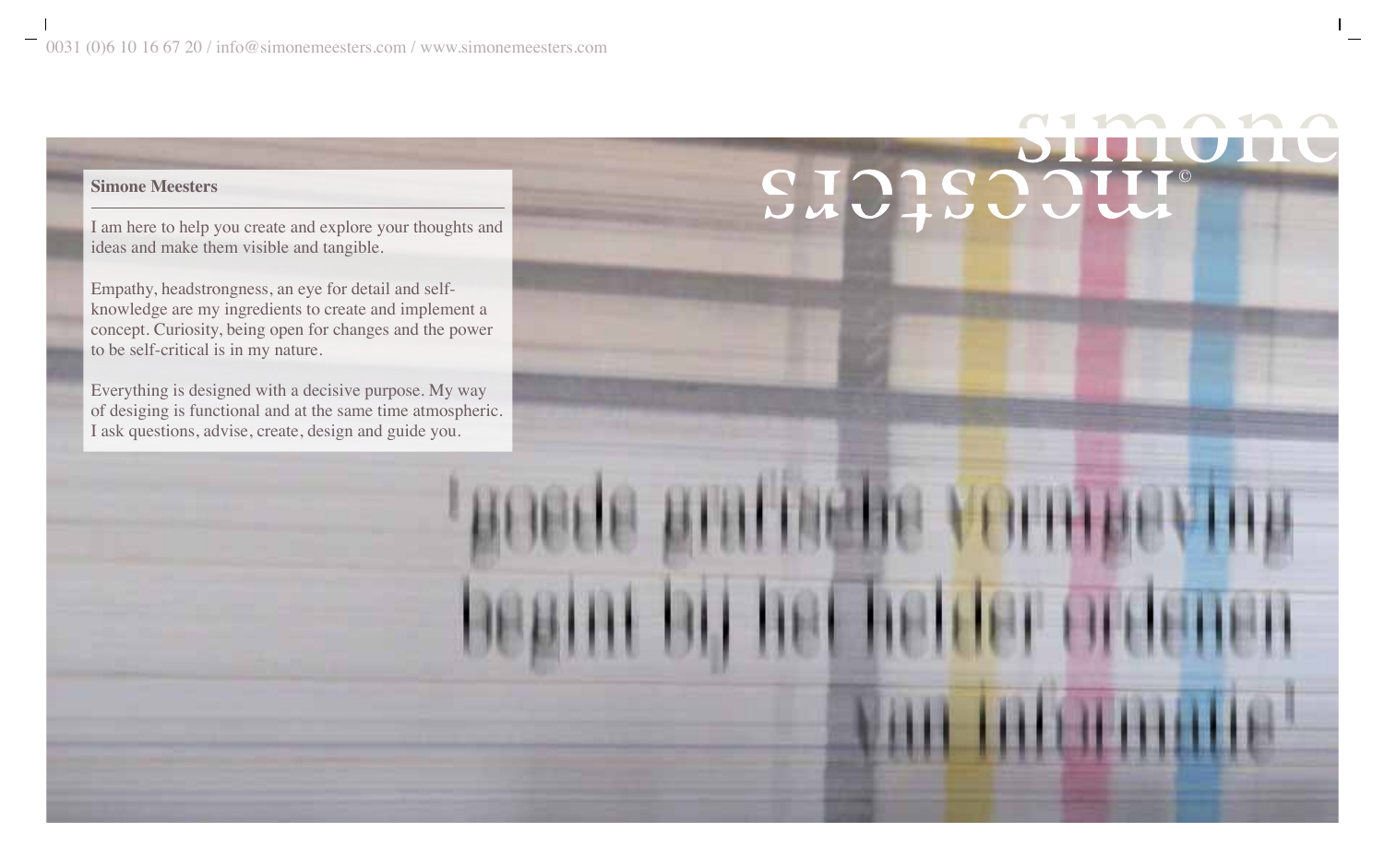# Simone Meesters **CIANG MEETING**

I am here to help you create and explore your thoughts and ideas and make them visible and tangible.

Empathy, headstrongness, an eye for detail and selfknowledge are my ingredients to create and implement a concept. Curiosity, being open for changes and the power to be self-critical is in my nature.

Everything is designed with a decisive purpose. My way of desiging is functional and at the same time atmospheric. I ask questions, advise, create, design and guide you.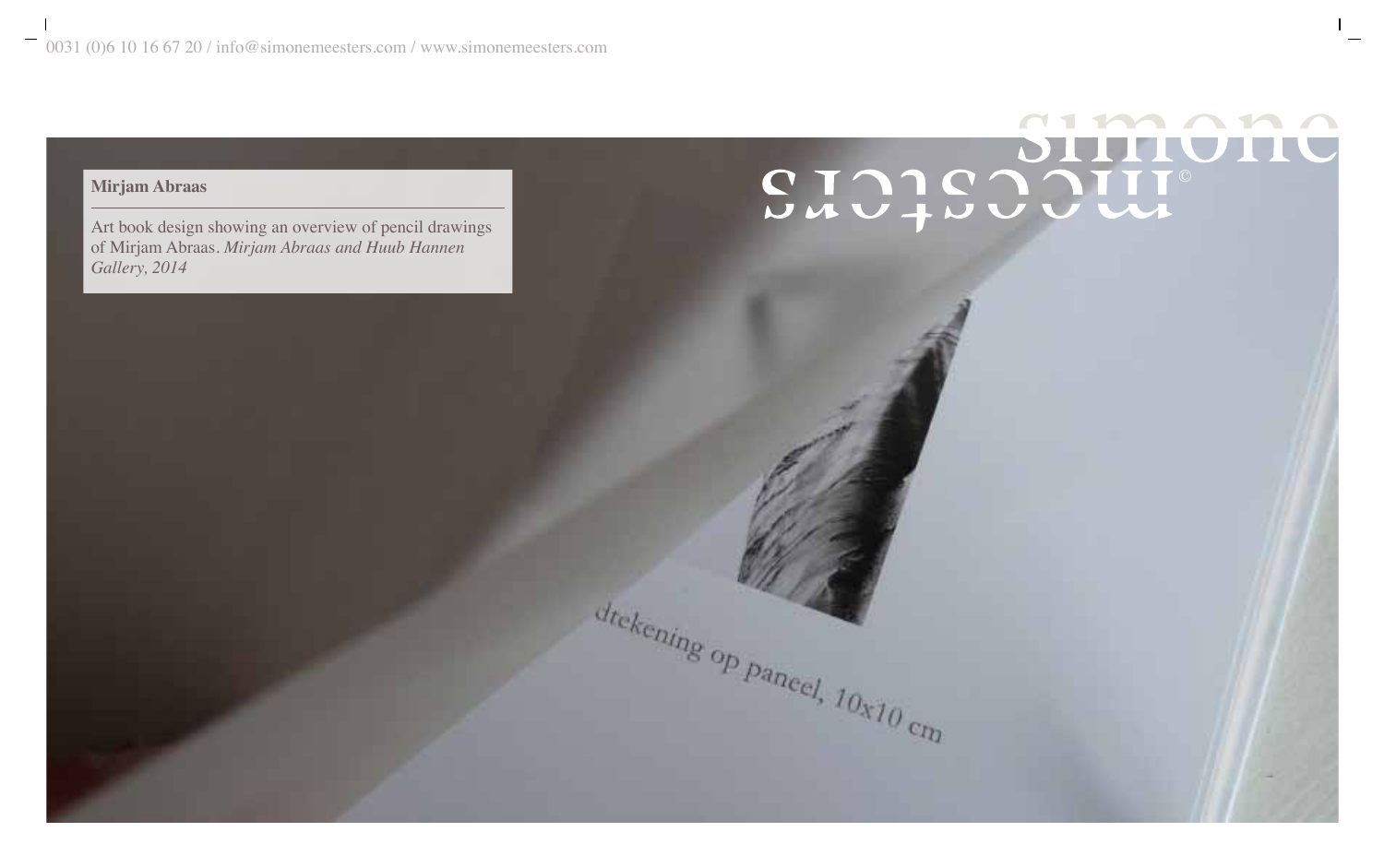# $112212$ STOIS SOUTION

dtekening op paneel, 10x10 cm

# **Mirjam Abraas**

Art book design showing an overview of pencil drawings of Mirjam Abraas. *Mirjam Abraas and Huub Hannen Gallery, 2014*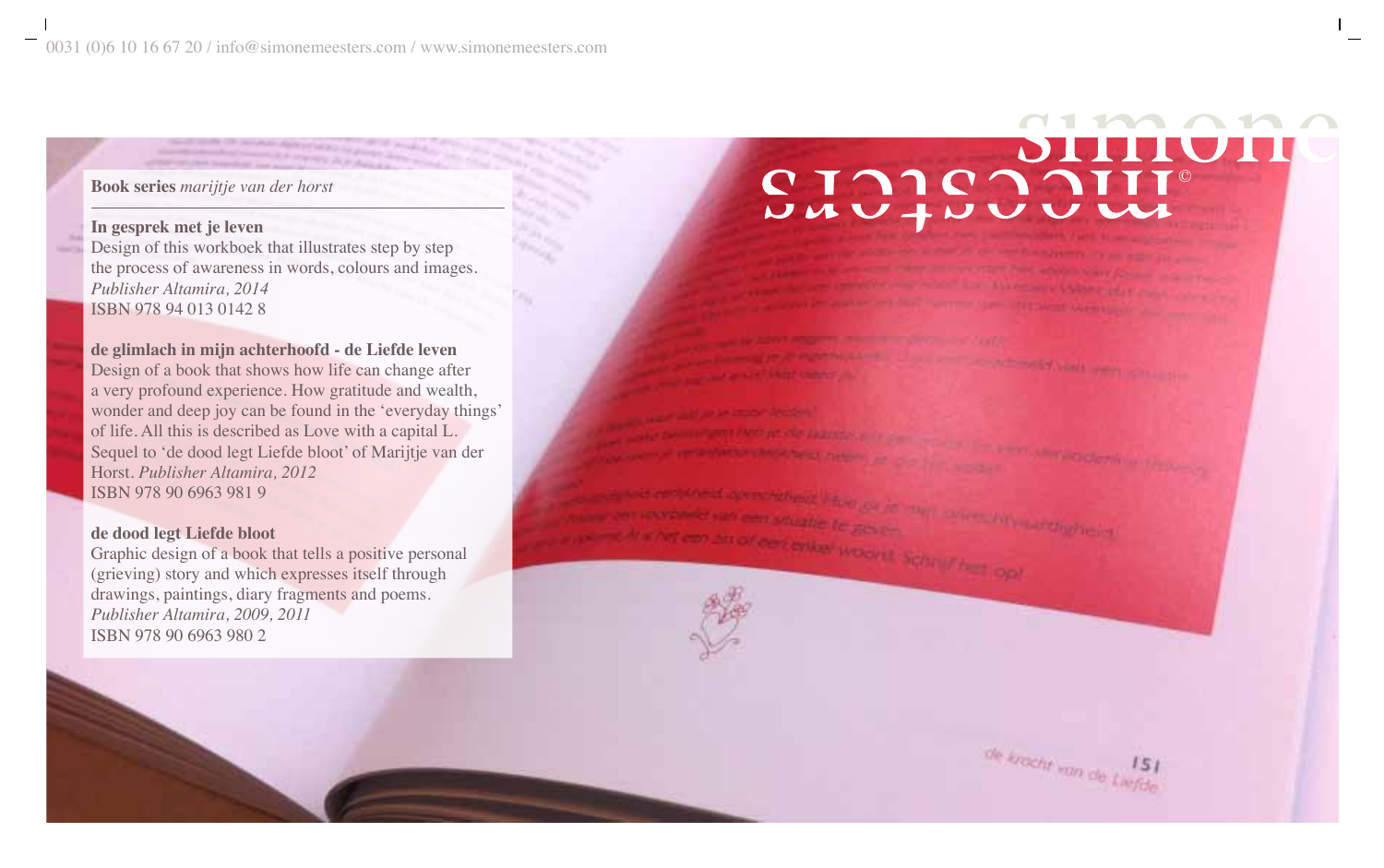# **In gesprek met je leven**

Design of this workboek that illustrates step by step the process of awareness in words, colours and images. *Publisher Altamira, 2014* ISBN 978 94 013 0142 8

# **de glimlach in mijn achterhoofd - de Liefde leven**

Design of a book that shows how life can change after a very profound experience. How gratitude and wealth, wonder and deep joy can be found in the 'everyday things' of life. All this is described as Love with a capital L. Sequel to 'de dood legt Liefde bloot' of Marijtje van der Horst. *Publisher Altamira, 2012* ISBN 978 90 6963 981 9

# **de dood legt Liefde bloot**

Graphic design of a book that tells a positive personal (grieving) story and which expresses itself through drawings, paintings, diary fragments and poems. *Publisher Altamira, 2009, 2011* ISBN 978 90 6963 980 2

# $\blacksquare$ Book series *marijtje van der horst*<br>In gesprek met je leven

**SYNNE WOOVER SCOTT FROM** 

de krocht van de Liefde

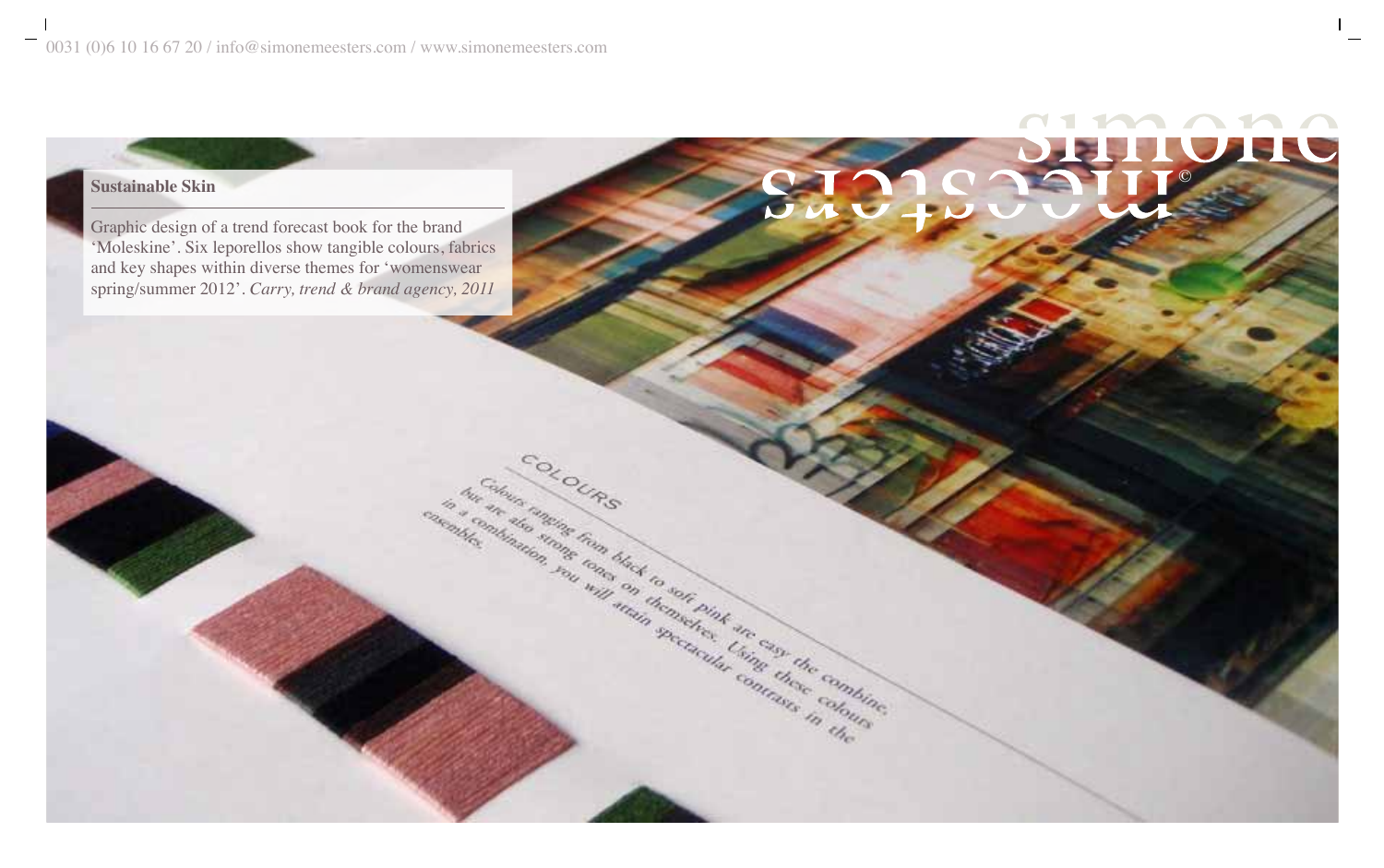# $\blacksquare$ © **Sustainable Skin**

Graphic design of a trend forecast book for the brand 'Moleskine'. Six leporellos show tangible colours, fabrics and key shapes within diverse themes for 'womenswear spring/summer 2012'. *Carry, trend & brand agency, 2011*

COLOURS

and the contract of the Contract of the Contract of the Contract of the Contract of the Contract of the Contract of the Contract of the Contract of the Contract of the Contract of the Contract of the Contract of the Contra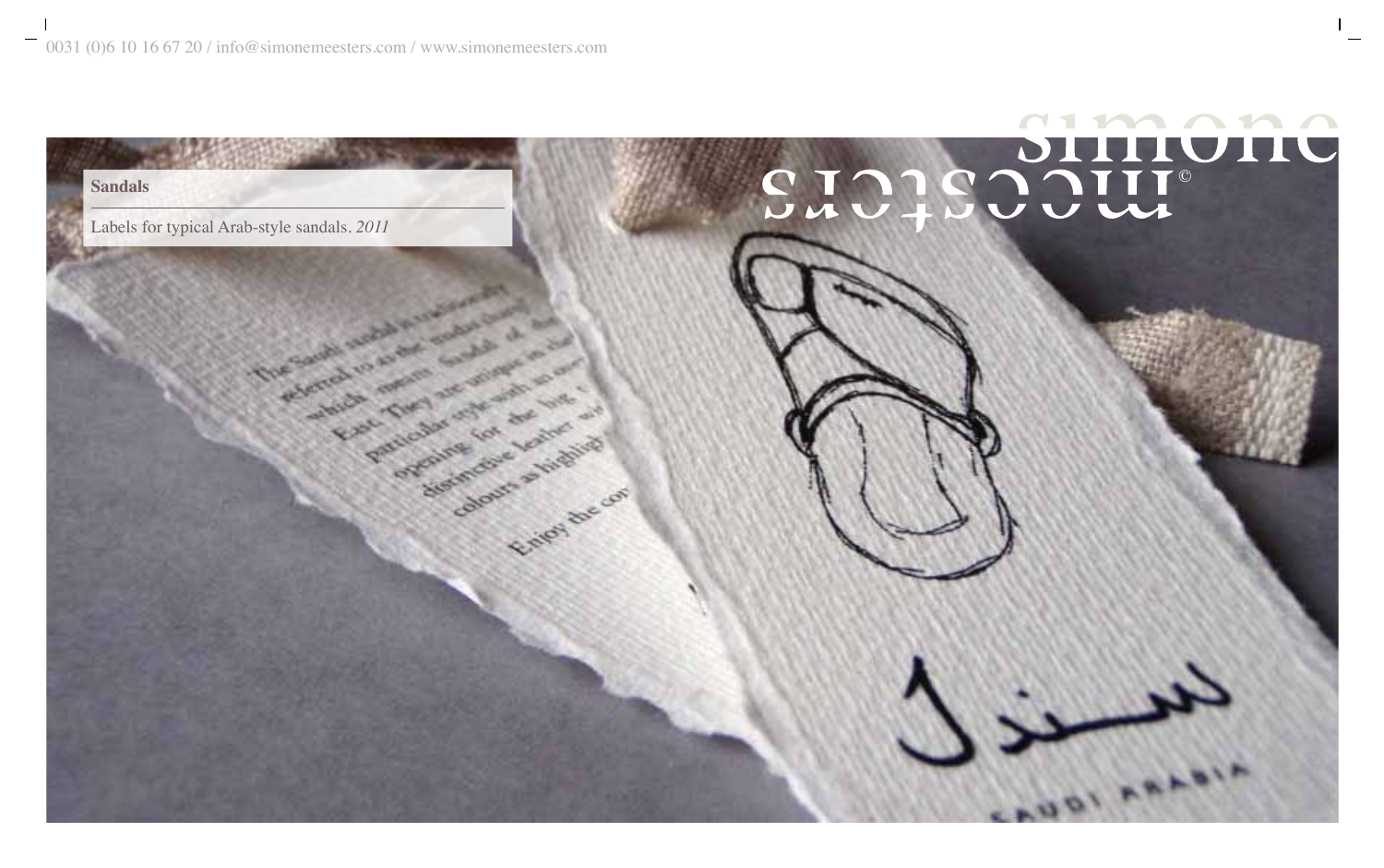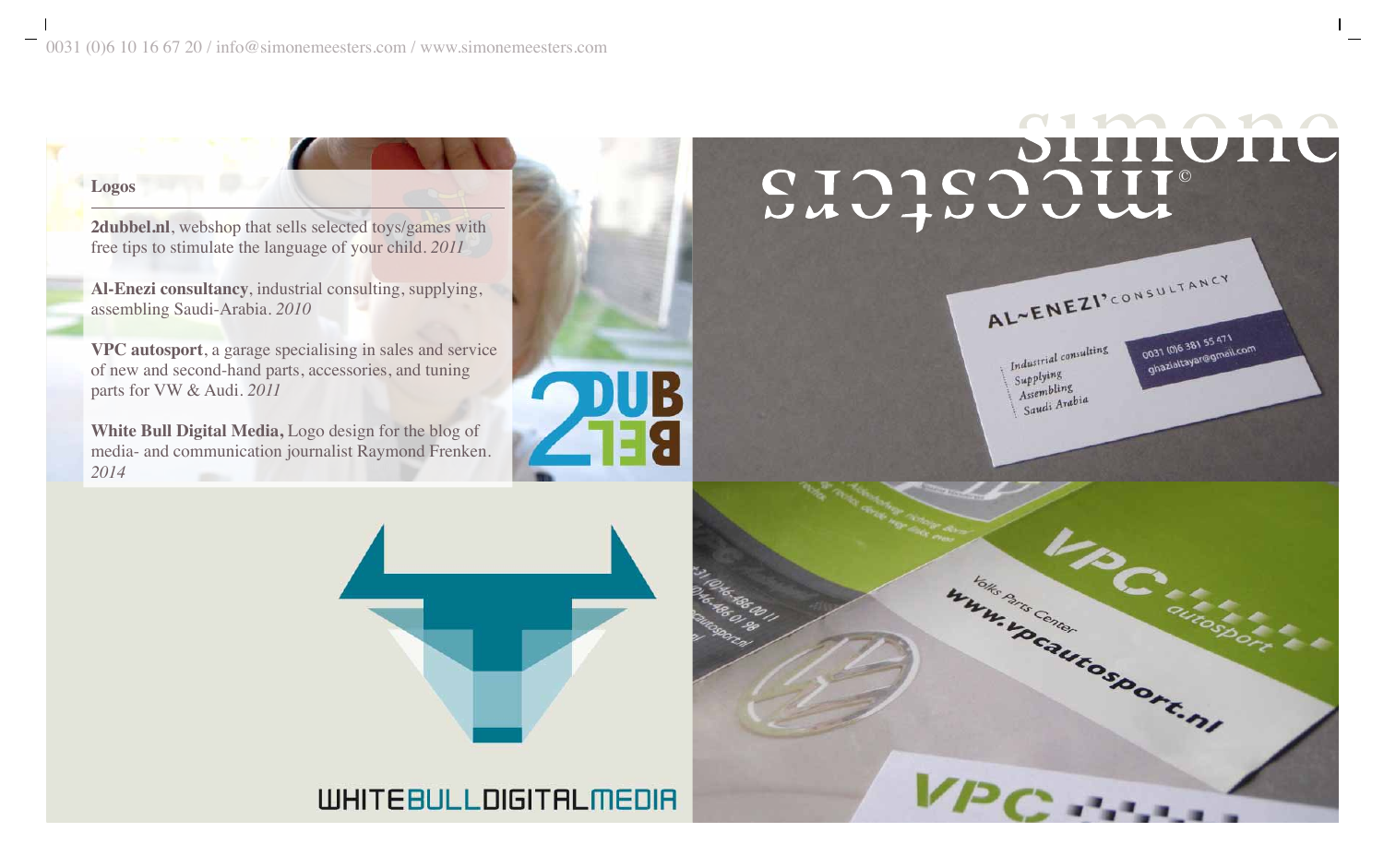# $\blacksquare$ Logos<br>2dubbel.nl, webshop that sells selected toys/games with

# Industrial consulting Supplying Supplying<br>Assembling Assembling<br>Saudi Arabia

AL~ENEZI'CONSULTANCY

0031 (0) 6 381 55 471 0031 (0)6 381 55 471<br>ghazialtayar@gmail.com

**White Bull Digital Media,** Logo design for the blog of







2dubbel.nl, webshop that sells selected toys/games with free tips to stimulate the language of your child. *2011*

**Al-Enezi consultancy**, industrial consulting, supplying, assembling Saudi-Arabia. *2010*

**VPC autosport**, a garage specialising in sales and service of new and second-hand parts, accessories, and tuning parts for VW & Audi. *2011*

media- and communication journalist Raymond Frenken. *2014*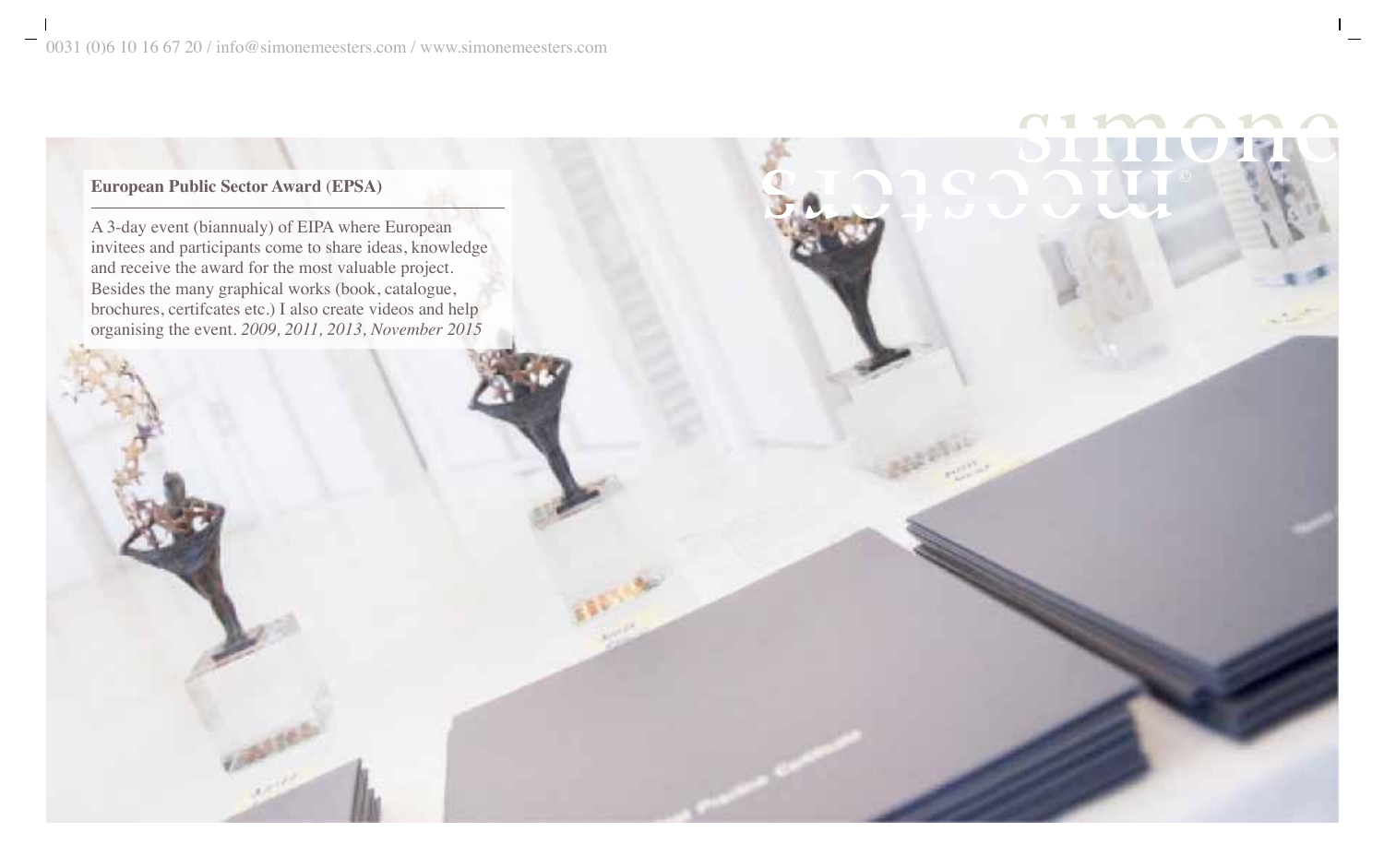# © **European Public Sector Award** (**EPSA)**

A 3-day event (biannualy) of EIPA where European invitees and participants come to share ideas, knowledge and receive the award for the most valuable project. Besides the many graphical works (book, catalogue, brochures, certifcates etc.) I also create videos and help organising the event. *2009, 2011, 2013, November 2015*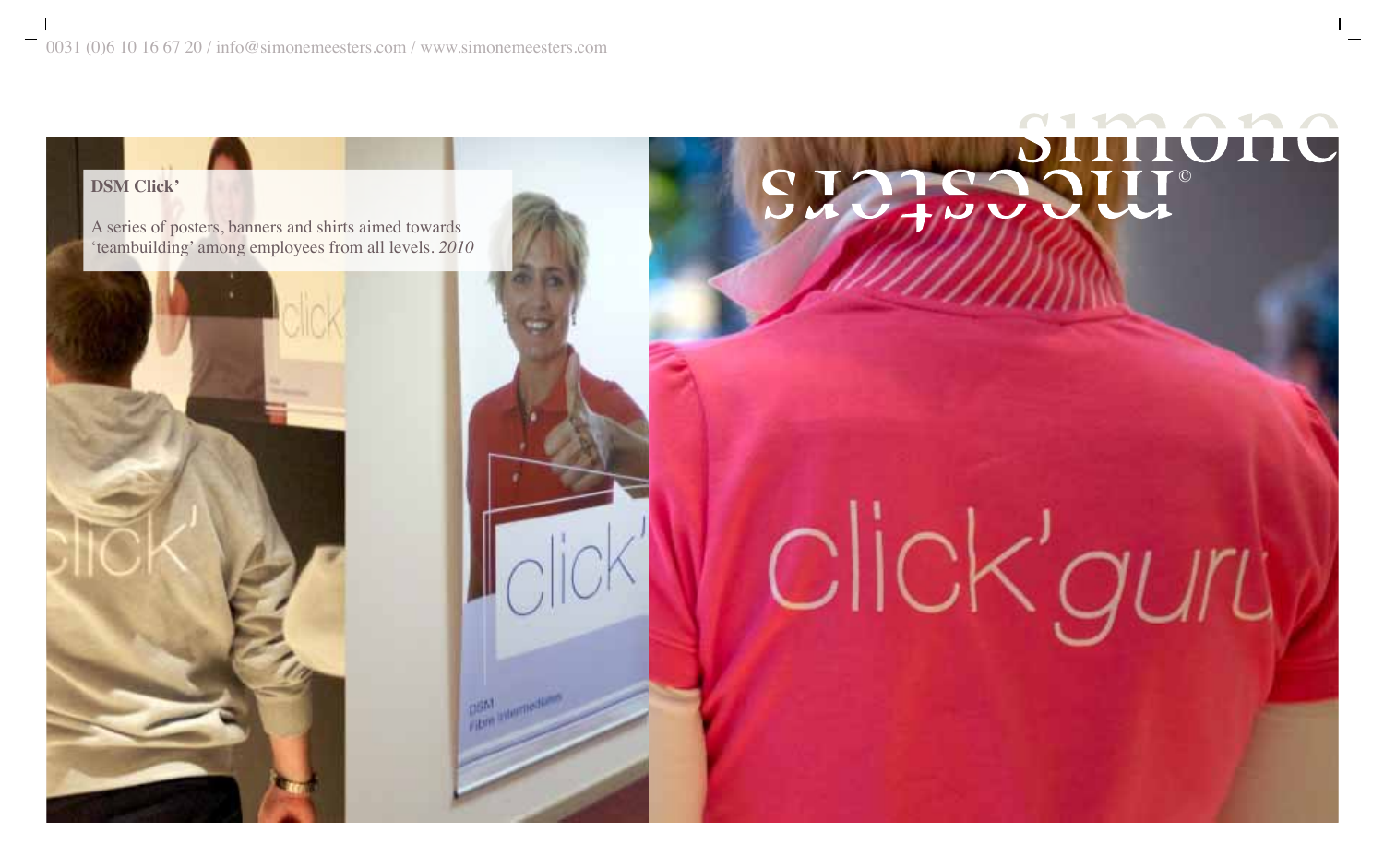A series of posters, banners and shirts aimed towards



# 'teambuilding' among employees from all levels. *2010* click'guru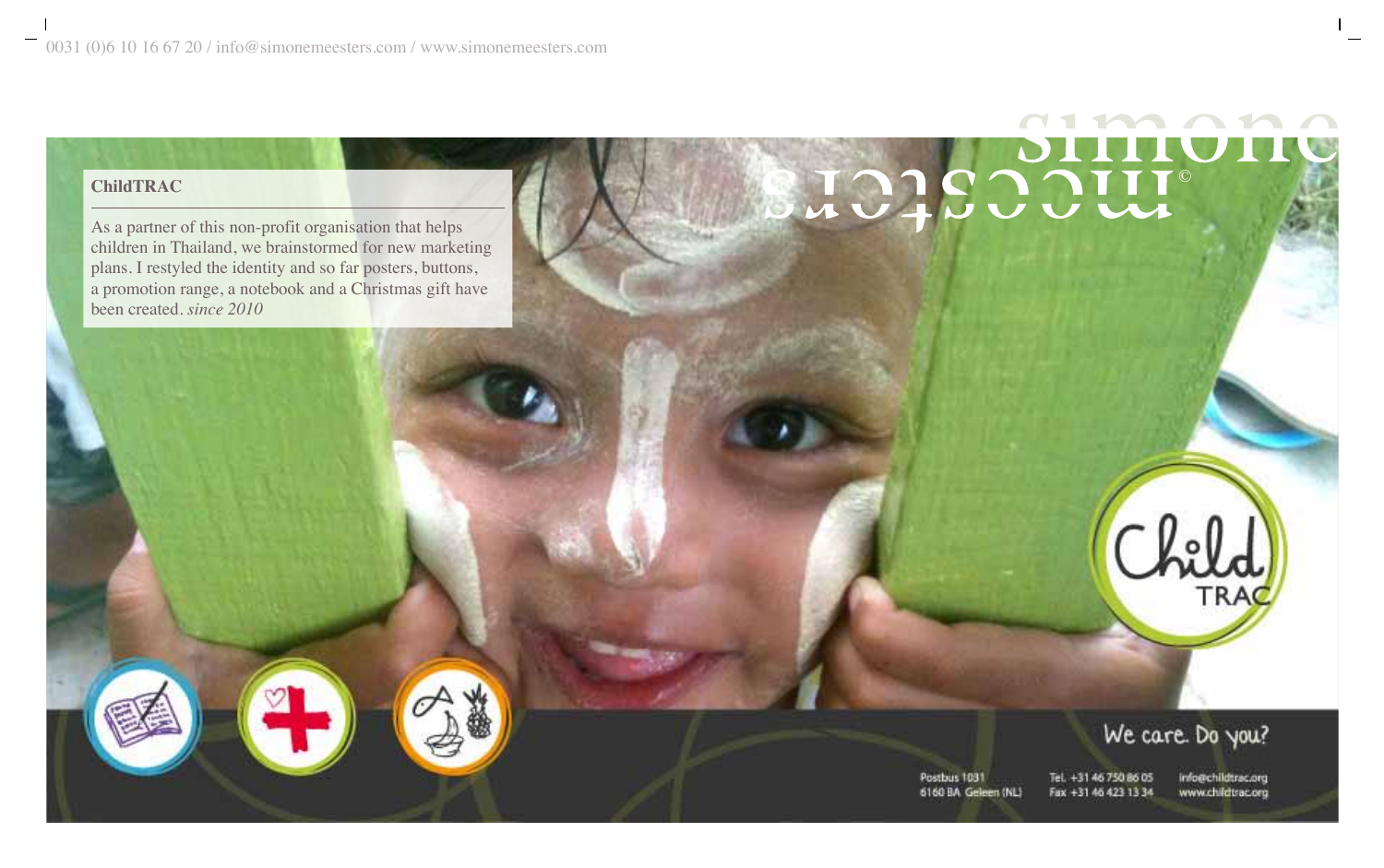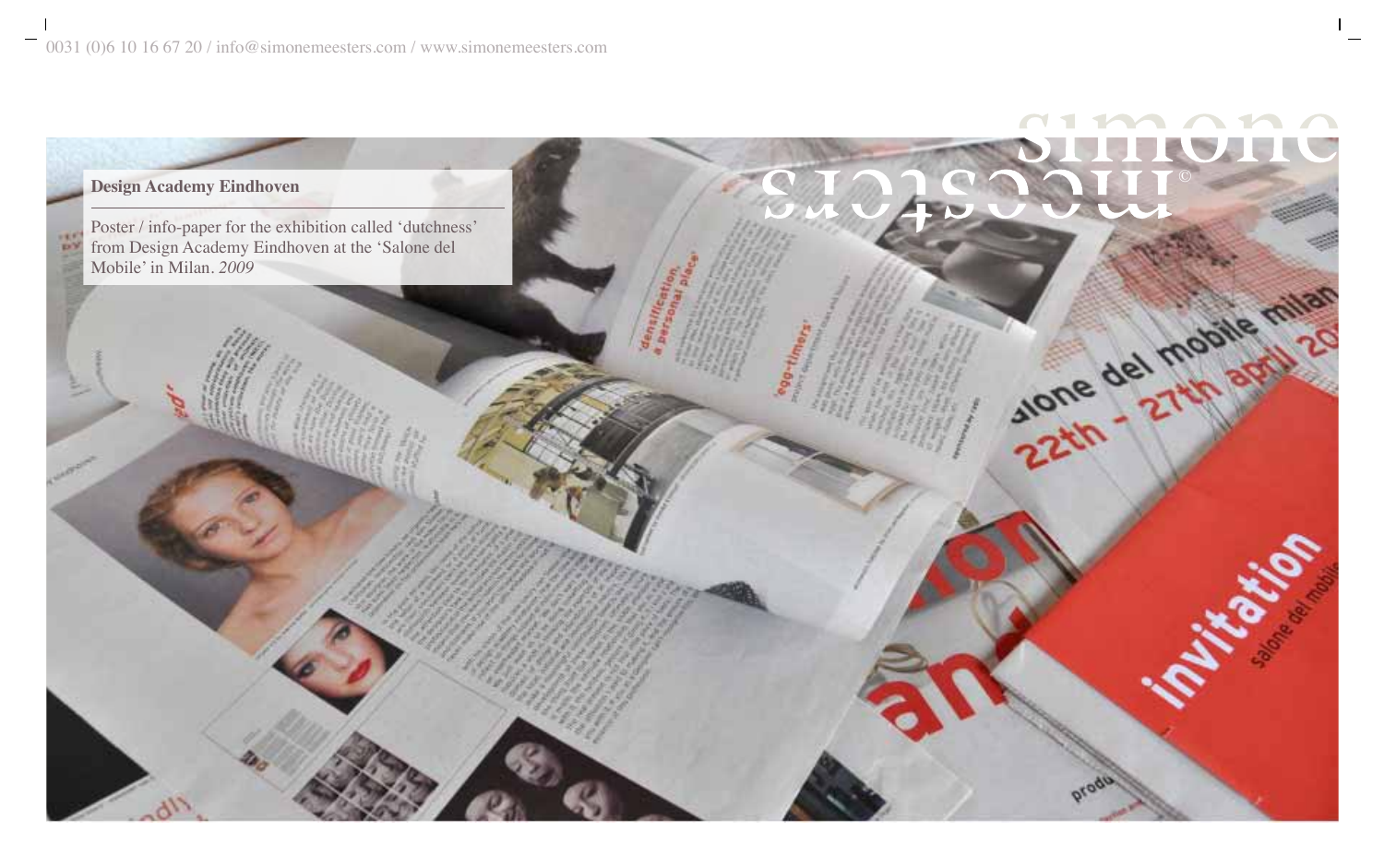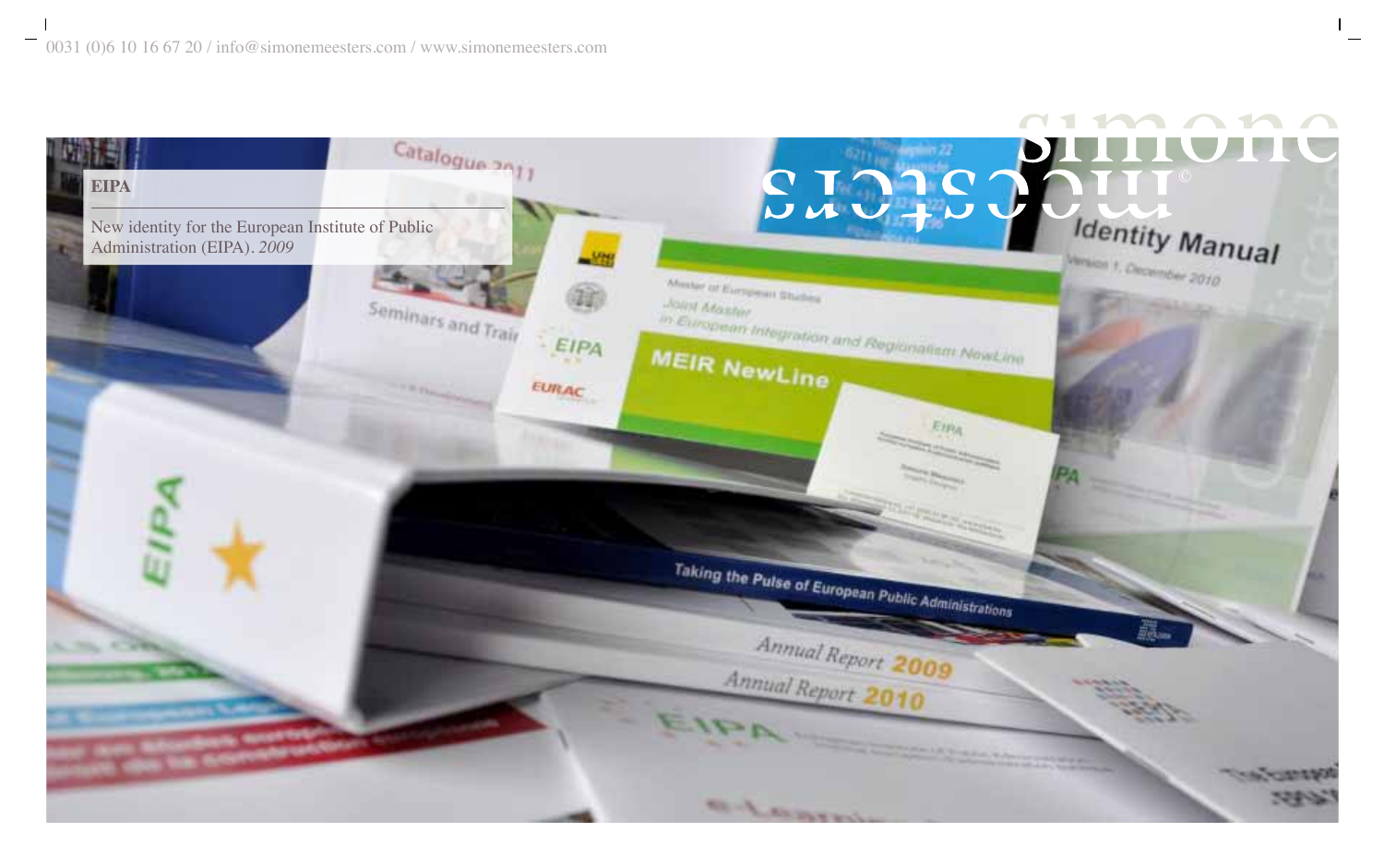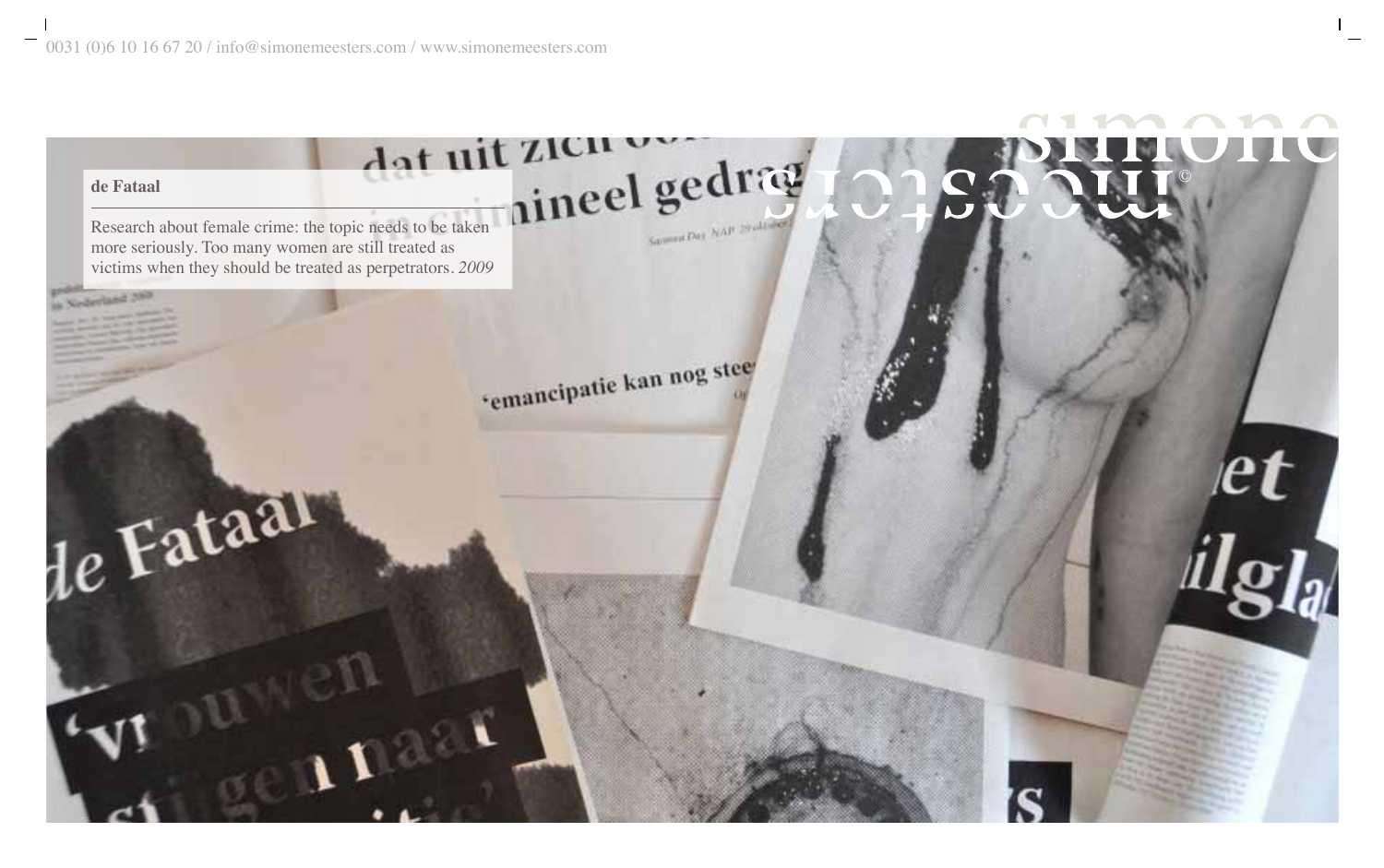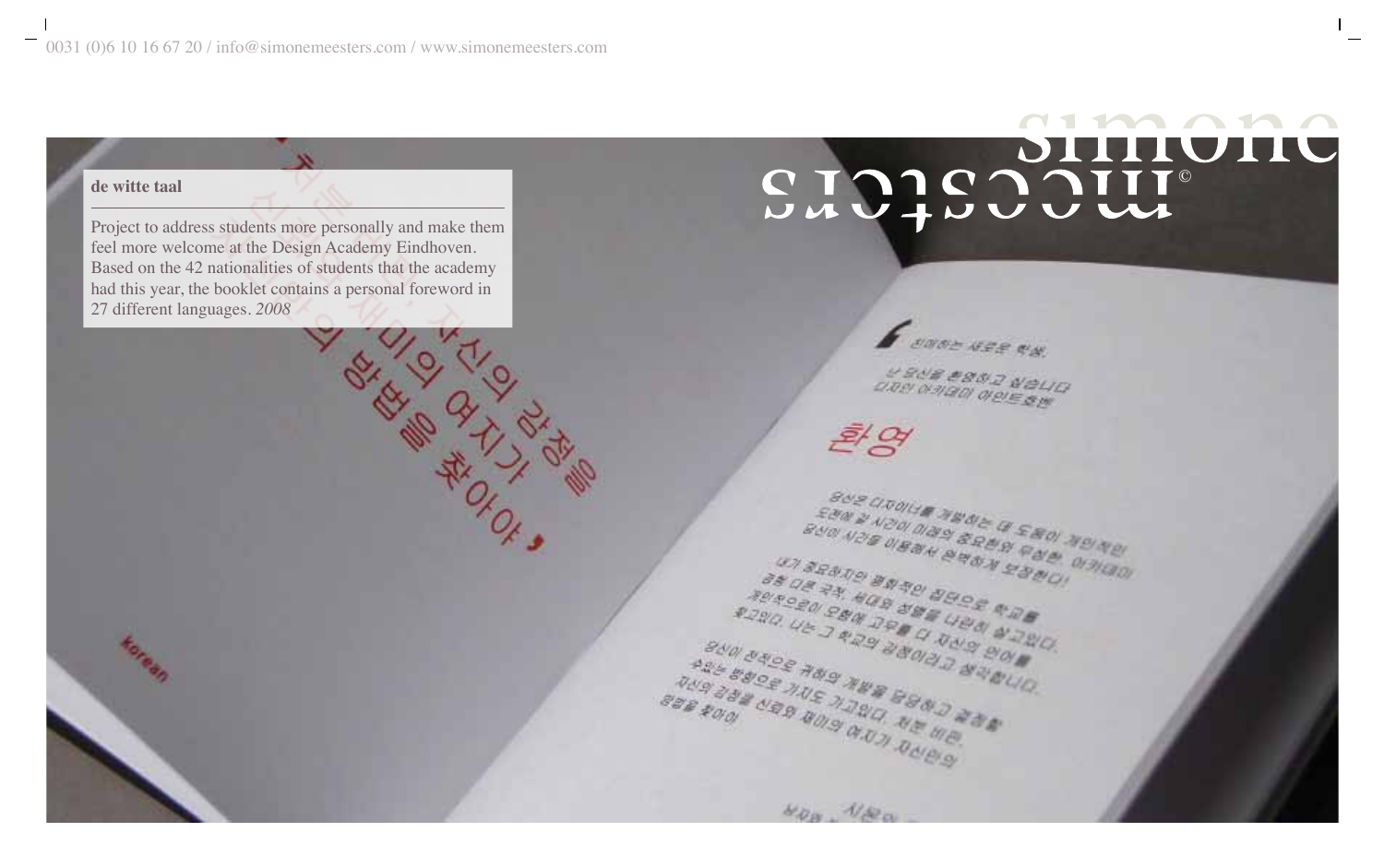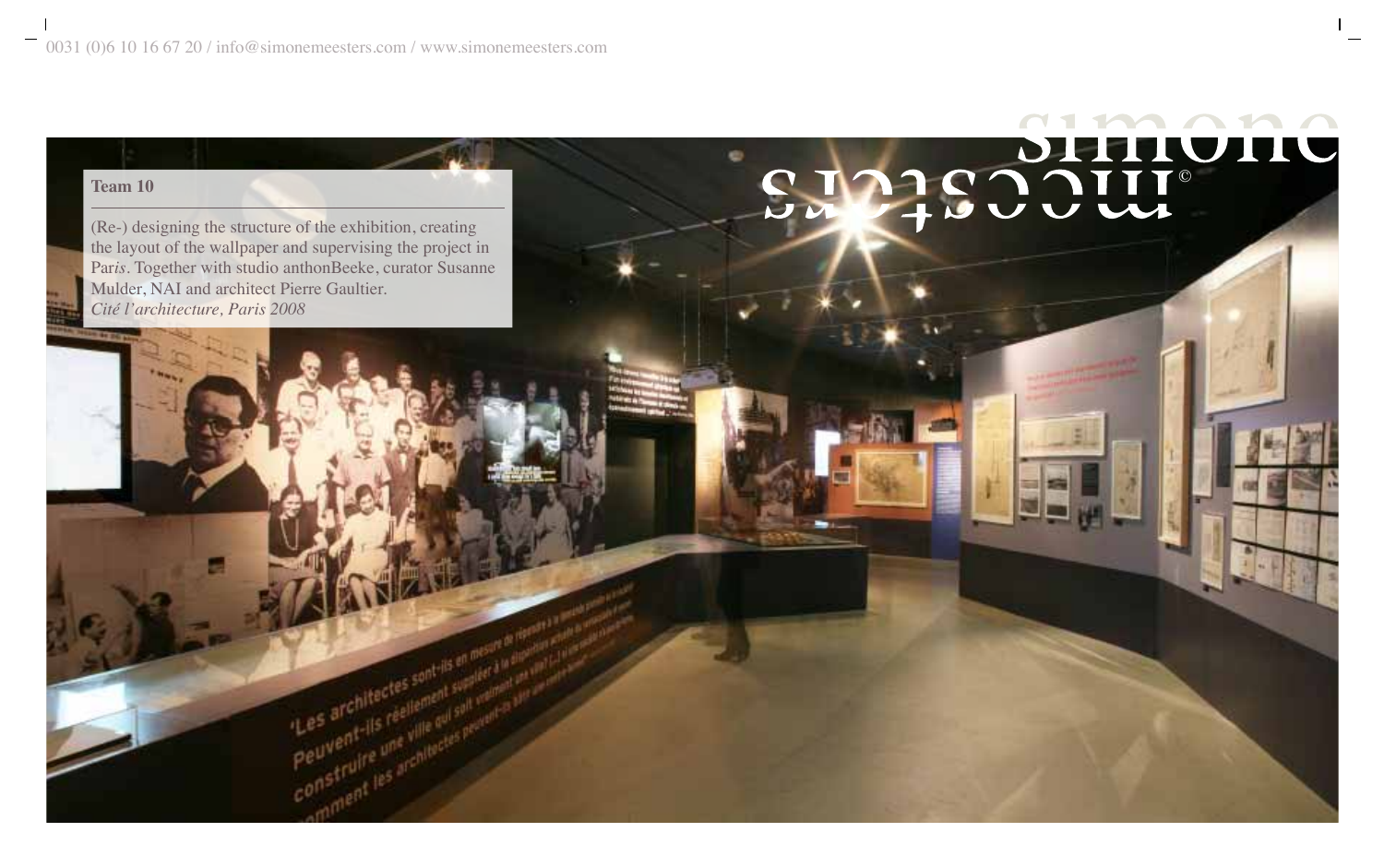